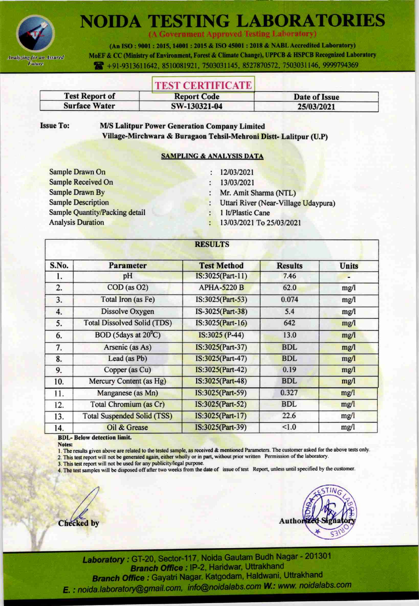

**NOIDA TESTING LABORATORIES** 

(A Government Approved Testing Laboratory)

(An ISO: 9001: 2015, 14001: 2015 & ISO 45001: 2018 & NABL Accredited Laboratory) MoEF & CC (Ministry of Environment, Forest & Climate Change), UPPCB & HSPCB Recognized Laboratory

491-9313611642, 8510081921, 7503031145, 8527870572, 7503031146, 9999794369

## **TEST CERTIFICATE**

| <b>Test Report of</b> | <b>Report Code</b> | Date of Issue |  |
|-----------------------|--------------------|---------------|--|
| <b>Surface Water</b>  | SW-130321-04       | 25/03/2021    |  |

**Issue To:** 

**M/S Lalitpur Power Generation Company Limited** Village-Mirchwara & Buragaon Tehsil-Mehroni Distt- Lalitpur (U.P)

### **SAMPLING & ANALYSIS DATA**

Sample Drawn On **Sample Received On Sample Drawn By Sample Description Sample Quantity/Packing detail Analysis Duration** 

- 12/03/2021  $\ddot{\cdot}$
- 13/03/2021 ł
- Mr. Amit Sharma (NTL)
- Uttari River (Near-Village Udaypura)
- 1 lt/Plastic Cane
- 13/03/2021 To 25/03/2021

| S.No. | <b>Parameter</b>                   | <b>Test Method</b> | <b>Results</b> | <b>Units</b> |
|-------|------------------------------------|--------------------|----------------|--------------|
| ı.    | pH                                 | IS:3025(Part-11)   | 7.46           |              |
| 2.    | $COD$ (as $O2$ )                   | <b>APHA-5220 B</b> | 62.0           | mg/l         |
| 3.    | Total Iron (as Fe)                 | IS:3025(Part-53)   | 0.074          | mg/l         |
| 4.    | Dissolve Oxygen                    | IS-3025(Part-38)   | 5.4            | mg/1         |
| 5.    | <b>Total Dissolved Solid (TDS)</b> | IS:3025(Part-16)   | 642            | mg/l         |
| 6.    | BOD (5days at 20 <sup>°</sup> C)   | IS:3025 (P-44)     | 13.0           | mg/l         |
| 7.    | Arsenic (as As)                    | IS:3025(Part-37)   | <b>BDL</b>     | mg/l         |
| 8.    | Lead (as Pb)                       | IS:3025(Part-47)   | <b>BDL</b>     | mg/l         |
| 9.    | Copper (as Cu)                     | IS:3025(Part-42)   | 0.19           | mg/l         |
| 10.   | Mercury Content (as Hg)            | IS:3025(Part-48)   | <b>BDL</b>     | mg/l         |
| 11.   | Manganese (as Mn)                  | IS:3025(Part-59)   | 0.327          | mg/1         |
| 12.   | Total Chromium (as Cr)             | IS:3025(Part-52)   | <b>BDL</b>     | mg/l         |
| 13.   | <b>Total Suspended Solid (TSS)</b> | IS:3025(Part-17)   | 22.6           | mg/l         |
| 14.   | Oil & Grease                       | IS:3025(Part-39)   | < 1.0          | mg/l         |

**BDL-Below detection limit.** 

Notes:

1. The results given above are related to the tested sample, as received & mentioned Parameters. The customer asked for the above tests only. 2. This test report will not be generated again, either wholly or in part, without prior written Permission of the laboratory.

3. This test report will not be used for any publicity/legal purpose.

4. The test samples will be disposed off after two weeks from the date of issue of test Report, unless until specified by the customer.

**Checked** by

Author

Laboratory: GT-20, Sector-117, Noida Gautam Budh Nagar - 201301 Branch Office : IP-2, Haridwar, Uttrakhand Branch Office : Gayatri Nagar. Katgodam, Haldwani, Uttrakhand E. : noida.laboratory@gmail.com, info@noidalabs.com W.: www. noidalabs.com